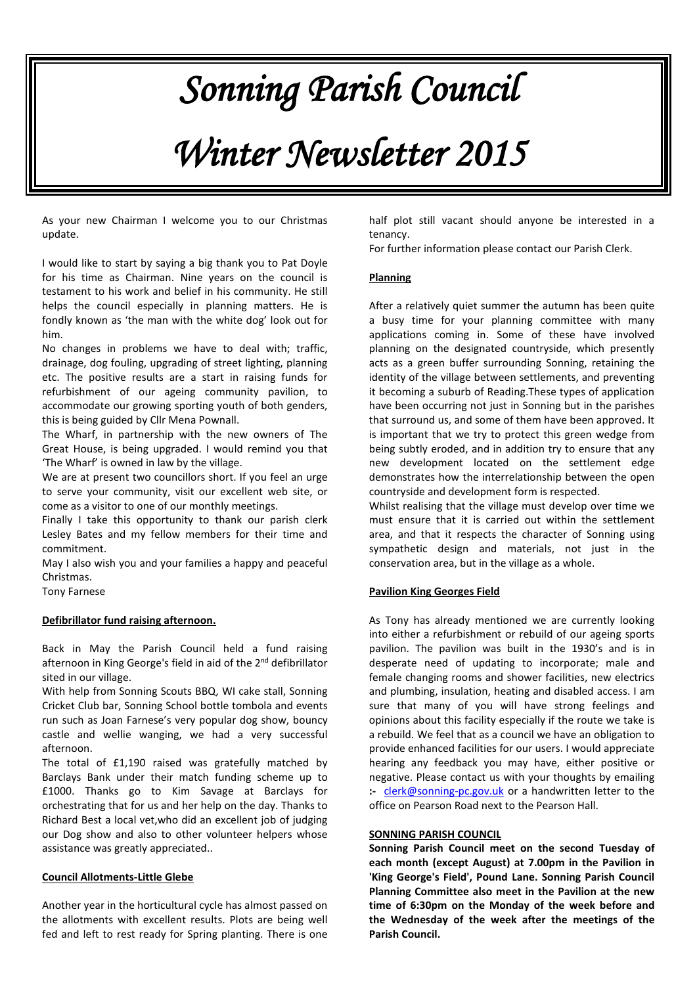# *Sonning Parish Council*

# *Winter Newsletter 2015*

As your new Chairman I welcome you to our Christmas update.

I would like to start by saying a big thank you to Pat Doyle for his time as Chairman. Nine years on the council is testament to his work and belief in his community. He still helps the council especially in planning matters. He is fondly known as 'the man with the white dog' look out for him.

No changes in problems we have to deal with; traffic, drainage, dog fouling, upgrading of street lighting, planning etc. The positive results are a start in raising funds for refurbishment of our ageing community pavilion, to accommodate our growing sporting youth of both genders, this is being guided by Cllr Mena Pownall.

The Wharf, in partnership with the new owners of The Great House, is being upgraded. I would remind you that 'The Wharf' is owned in law by the village.

We are at present two councillors short. If you feel an urge to serve your community, visit our excellent web site, or come as a visitor to one of our monthly meetings.

Finally I take this opportunity to thank our parish clerk Lesley Bates and my fellow members for their time and commitment.

May I also wish you and your families a happy and peaceful Christmas.

Tony Farnese

### **Defibrillator fund raising afternoon.**

Back in May the Parish Council held a fund raising afternoon in King George's field in aid of the 2<sup>nd</sup> defibrillator sited in our village.

With help from Sonning Scouts BBQ, WI cake stall, Sonning Cricket Club bar, Sonning School bottle tombola and events run such as Joan Farnese's very popular dog show, bouncy castle and wellie wanging, we had a very successful afternoon.

The total of £1,190 raised was gratefully matched by Barclays Bank under their match funding scheme up to £1000. Thanks go to Kim Savage at Barclays for orchestrating that for us and her help on the day. Thanks to Richard Best a local vet,who did an excellent job of judging our Dog show and also to other volunteer helpers whose assistance was greatly appreciated..

#### **Council Allotments-Little Glebe**

Another year in the horticultural cycle has almost passed on the allotments with excellent results. Plots are being well fed and left to rest ready for Spring planting. There is one

half plot still vacant should anyone be interested in a tenancy.

For further information please contact our Parish Clerk.

### **Planning**

After a relatively quiet summer the autumn has been quite a busy time for your planning committee with many applications coming in. Some of these have involved planning on the designated countryside, which presently acts as a green buffer surrounding Sonning, retaining the identity of the village between settlements, and preventing it becoming a suburb of Reading.These types of application have been occurring not just in Sonning but in the parishes that surround us, and some of them have been approved. It is important that we try to protect this green wedge from being subtly eroded, and in addition try to ensure that any new development located on the settlement edge demonstrates how the interrelationship between the open countryside and development form is respected.

Whilst realising that the village must develop over time we must ensure that it is carried out within the settlement area, and that it respects the character of Sonning using sympathetic design and materials, not just in the conservation area, but in the village as a whole.

### **Pavilion King Georges Field**

As Tony has already mentioned we are currently looking into either a refurbishment or rebuild of our ageing sports pavilion. The pavilion was built in the 1930's and is in desperate need of updating to incorporate; male and female changing rooms and shower facilities, new electrics and plumbing, insulation, heating and disabled access. I am sure that many of you will have strong feelings and opinions about this facility especially if the route we take is a rebuild. We feel that as a council we have an obligation to provide enhanced facilities for our users. I would appreciate hearing any feedback you may have, either positive or negative. Please contact us with your thoughts by emailing **:-** [clerk@sonning-pc.gov.uk](mailto:clerk@sonning-pc.gov.uk) or a handwritten letter to the office on Pearson Road next to the Pearson Hall.

### **SONNING PARISH COUNCIL**

**Sonning Parish Council meet on the second Tuesday of each month (except August) at 7.00pm in the Pavilion in 'King George's Field', Pound Lane. Sonning Parish Council Planning Committee also meet in the Pavilion at the new time of 6:30pm on the Monday of the week before and the Wednesday of the week after the meetings of the Parish Council.**